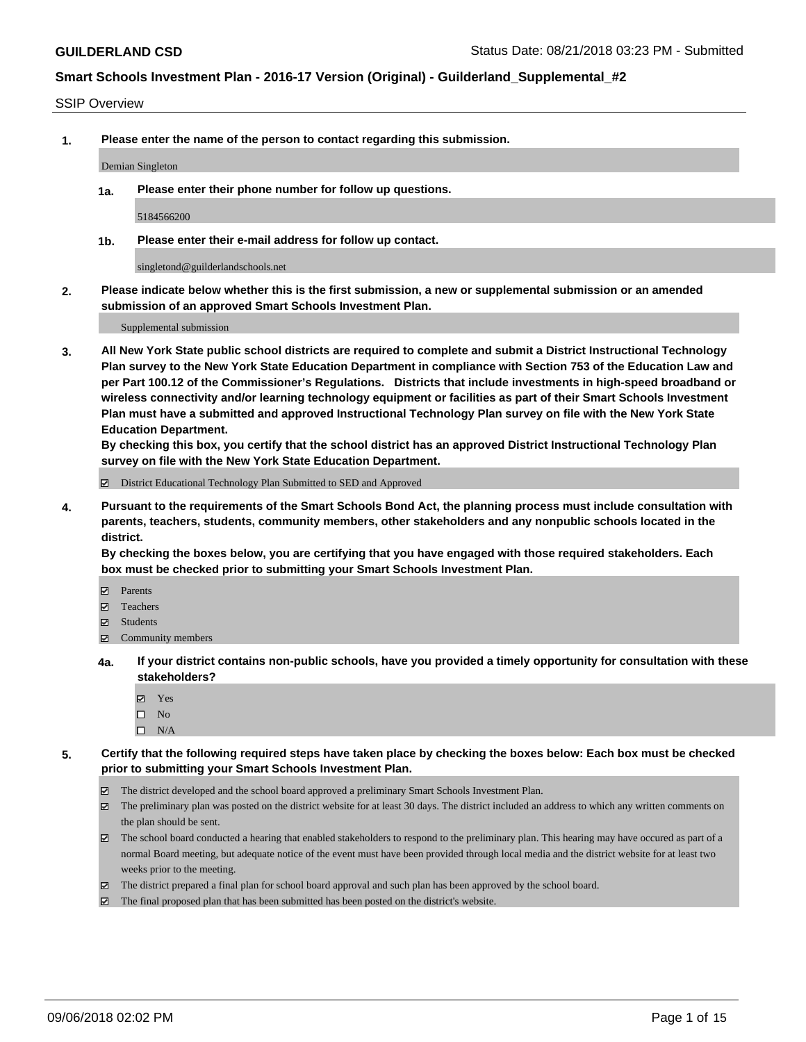#### SSIP Overview

**1. Please enter the name of the person to contact regarding this submission.**

Demian Singleton

**1a. Please enter their phone number for follow up questions.**

5184566200

**1b. Please enter their e-mail address for follow up contact.**

singletond@guilderlandschools.net

**2. Please indicate below whether this is the first submission, a new or supplemental submission or an amended submission of an approved Smart Schools Investment Plan.**

Supplemental submission

**3. All New York State public school districts are required to complete and submit a District Instructional Technology Plan survey to the New York State Education Department in compliance with Section 753 of the Education Law and per Part 100.12 of the Commissioner's Regulations. Districts that include investments in high-speed broadband or wireless connectivity and/or learning technology equipment or facilities as part of their Smart Schools Investment Plan must have a submitted and approved Instructional Technology Plan survey on file with the New York State Education Department.** 

**By checking this box, you certify that the school district has an approved District Instructional Technology Plan survey on file with the New York State Education Department.**

District Educational Technology Plan Submitted to SED and Approved

**4. Pursuant to the requirements of the Smart Schools Bond Act, the planning process must include consultation with parents, teachers, students, community members, other stakeholders and any nonpublic schools located in the district.** 

**By checking the boxes below, you are certifying that you have engaged with those required stakeholders. Each box must be checked prior to submitting your Smart Schools Investment Plan.**

- **Parents**
- Teachers
- **☑** Students
- **☑** Community members
- **4a. If your district contains non-public schools, have you provided a timely opportunity for consultation with these stakeholders?**
	- **Ø** Yes
	- $\square$  No
	- $\square$  N/A
- **5. Certify that the following required steps have taken place by checking the boxes below: Each box must be checked prior to submitting your Smart Schools Investment Plan.**
	- The district developed and the school board approved a preliminary Smart Schools Investment Plan.
	- $\boxtimes$  The preliminary plan was posted on the district website for at least 30 days. The district included an address to which any written comments on the plan should be sent.
	- The school board conducted a hearing that enabled stakeholders to respond to the preliminary plan. This hearing may have occured as part of a normal Board meeting, but adequate notice of the event must have been provided through local media and the district website for at least two weeks prior to the meeting.
	- The district prepared a final plan for school board approval and such plan has been approved by the school board.
	- The final proposed plan that has been submitted has been posted on the district's website.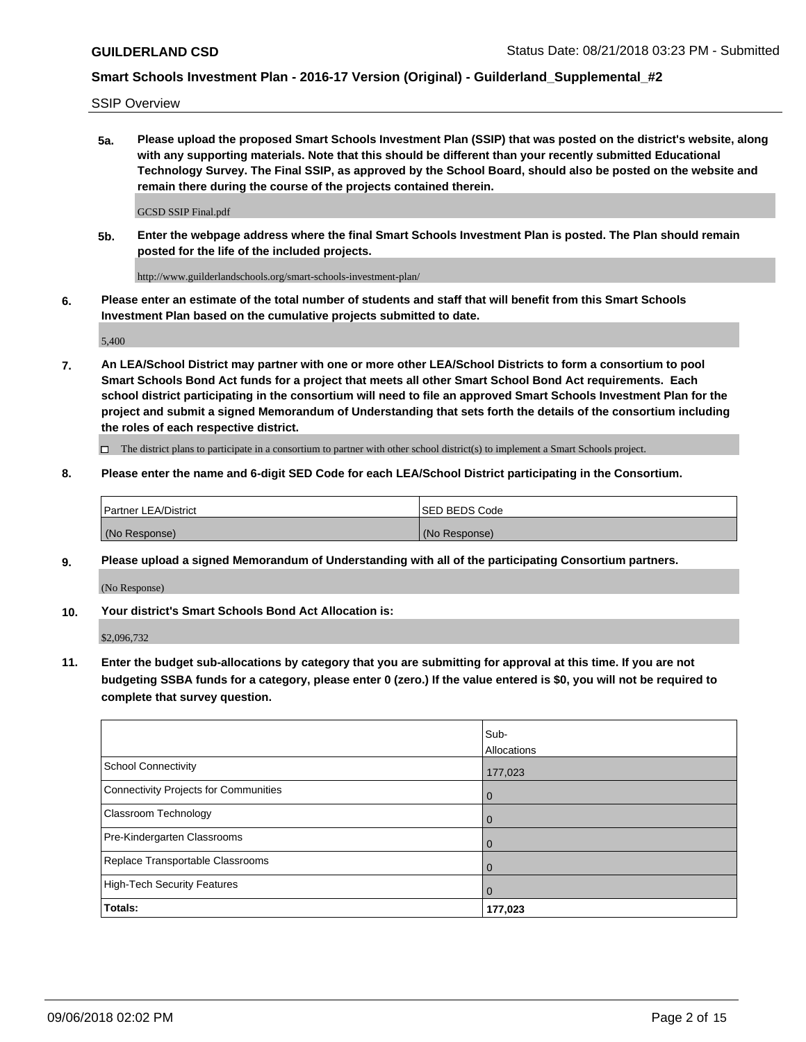SSIP Overview

**5a. Please upload the proposed Smart Schools Investment Plan (SSIP) that was posted on the district's website, along with any supporting materials. Note that this should be different than your recently submitted Educational Technology Survey. The Final SSIP, as approved by the School Board, should also be posted on the website and remain there during the course of the projects contained therein.**

GCSD SSIP Final.pdf

**5b. Enter the webpage address where the final Smart Schools Investment Plan is posted. The Plan should remain posted for the life of the included projects.**

http://www.guilderlandschools.org/smart-schools-investment-plan/

**6. Please enter an estimate of the total number of students and staff that will benefit from this Smart Schools Investment Plan based on the cumulative projects submitted to date.**

5,400

**7. An LEA/School District may partner with one or more other LEA/School Districts to form a consortium to pool Smart Schools Bond Act funds for a project that meets all other Smart School Bond Act requirements. Each school district participating in the consortium will need to file an approved Smart Schools Investment Plan for the project and submit a signed Memorandum of Understanding that sets forth the details of the consortium including the roles of each respective district.**

 $\Box$  The district plans to participate in a consortium to partner with other school district(s) to implement a Smart Schools project.

#### **8. Please enter the name and 6-digit SED Code for each LEA/School District participating in the Consortium.**

| Partner LEA/District | <b>ISED BEDS Code</b> |
|----------------------|-----------------------|
| (No Response)        | (No Response)         |

#### **9. Please upload a signed Memorandum of Understanding with all of the participating Consortium partners.**

(No Response)

**10. Your district's Smart Schools Bond Act Allocation is:**

\$2,096,732

**11. Enter the budget sub-allocations by category that you are submitting for approval at this time. If you are not budgeting SSBA funds for a category, please enter 0 (zero.) If the value entered is \$0, you will not be required to complete that survey question.**

|                                       | Sub-<br>Allocations |
|---------------------------------------|---------------------|
| School Connectivity                   | 177,023             |
| Connectivity Projects for Communities | $\overline{0}$      |
| <b>Classroom Technology</b>           | $\overline{0}$      |
| Pre-Kindergarten Classrooms           | $\Omega$            |
| Replace Transportable Classrooms      | $\mathbf 0$         |
| High-Tech Security Features           | $\overline{0}$      |
| Totals:                               | 177,023             |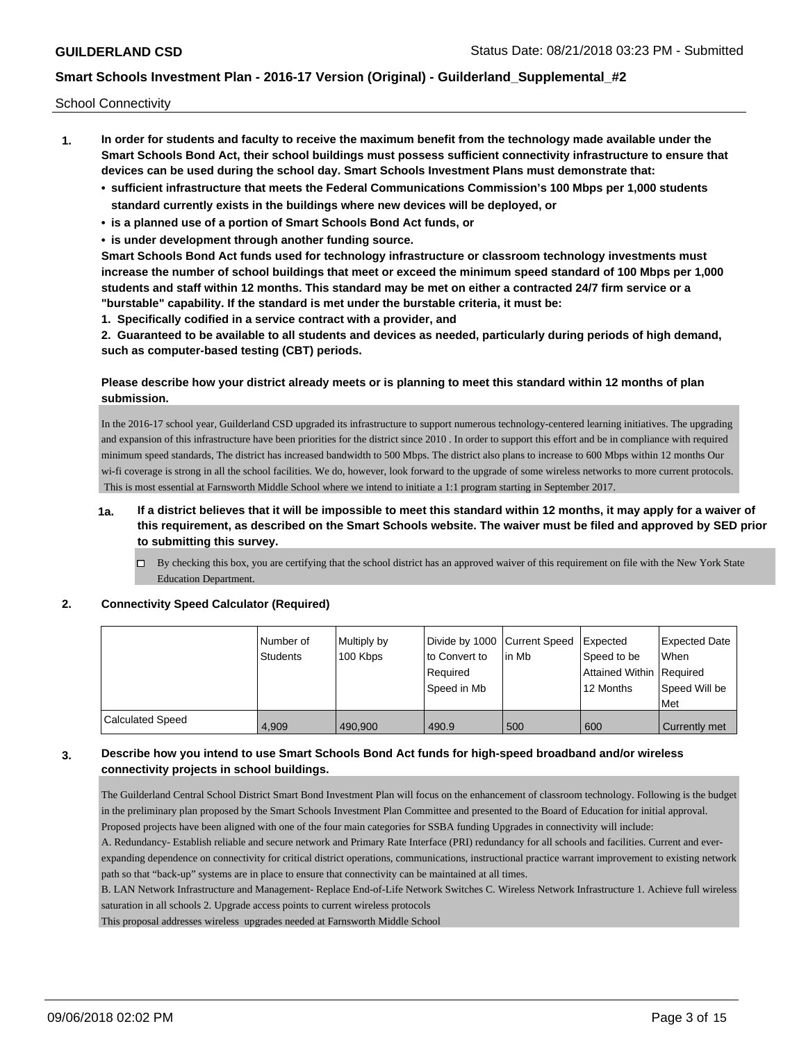School Connectivity

- **1. In order for students and faculty to receive the maximum benefit from the technology made available under the Smart Schools Bond Act, their school buildings must possess sufficient connectivity infrastructure to ensure that devices can be used during the school day. Smart Schools Investment Plans must demonstrate that:**
	- **• sufficient infrastructure that meets the Federal Communications Commission's 100 Mbps per 1,000 students standard currently exists in the buildings where new devices will be deployed, or**
	- **• is a planned use of a portion of Smart Schools Bond Act funds, or**
	- **• is under development through another funding source.**

**Smart Schools Bond Act funds used for technology infrastructure or classroom technology investments must increase the number of school buildings that meet or exceed the minimum speed standard of 100 Mbps per 1,000 students and staff within 12 months. This standard may be met on either a contracted 24/7 firm service or a "burstable" capability. If the standard is met under the burstable criteria, it must be:**

**1. Specifically codified in a service contract with a provider, and**

**2. Guaranteed to be available to all students and devices as needed, particularly during periods of high demand, such as computer-based testing (CBT) periods.**

### **Please describe how your district already meets or is planning to meet this standard within 12 months of plan submission.**

In the 2016-17 school year, Guilderland CSD upgraded its infrastructure to support numerous technology-centered learning initiatives. The upgrading and expansion of this infrastructure have been priorities for the district since 2010 . In order to support this effort and be in compliance with required minimum speed standards, The district has increased bandwidth to 500 Mbps. The district also plans to increase to 600 Mbps within 12 months Our wi-fi coverage is strong in all the school facilities. We do, however, look forward to the upgrade of some wireless networks to more current protocols. This is most essential at Farnsworth Middle School where we intend to initiate a 1:1 program starting in September 2017.

- **1a. If a district believes that it will be impossible to meet this standard within 12 months, it may apply for a waiver of this requirement, as described on the Smart Schools website. The waiver must be filed and approved by SED prior to submitting this survey.**
	- $\Box$  By checking this box, you are certifying that the school district has an approved waiver of this requirement on file with the New York State Education Department.

### **2. Connectivity Speed Calculator (Required)**

|                         | l Number of<br>Students | Multiply by<br>100 Kbps | Divide by 1000 Current Speed<br>to Convert to<br>Required<br>Speed in Mb | lin Mb | Expected<br>Speed to be<br>Attained Within Required<br>12 Months | Expected Date<br><b>When</b><br>Speed Will be<br>Met |
|-------------------------|-------------------------|-------------------------|--------------------------------------------------------------------------|--------|------------------------------------------------------------------|------------------------------------------------------|
| <b>Calculated Speed</b> | 4.909                   | 490.900                 | 490.9                                                                    | 500    | 600                                                              | Currently met                                        |

### **3. Describe how you intend to use Smart Schools Bond Act funds for high-speed broadband and/or wireless connectivity projects in school buildings.**

The Guilderland Central School District Smart Bond Investment Plan will focus on the enhancement of classroom technology. Following is the budget in the preliminary plan proposed by the Smart Schools Investment Plan Committee and presented to the Board of Education for initial approval. Proposed projects have been aligned with one of the four main categories for SSBA funding Upgrades in connectivity will include:

A. Redundancy- Establish reliable and secure network and Primary Rate Interface (PRI) redundancy for all schools and facilities. Current and everexpanding dependence on connectivity for critical district operations, communications, instructional practice warrant improvement to existing network path so that "back-up" systems are in place to ensure that connectivity can be maintained at all times.

B. LAN Network Infrastructure and Management- Replace End-of-Life Network Switches C. Wireless Network Infrastructure 1. Achieve full wireless saturation in all schools 2. Upgrade access points to current wireless protocols

This proposal addresses wireless upgrades needed at Farnsworth Middle School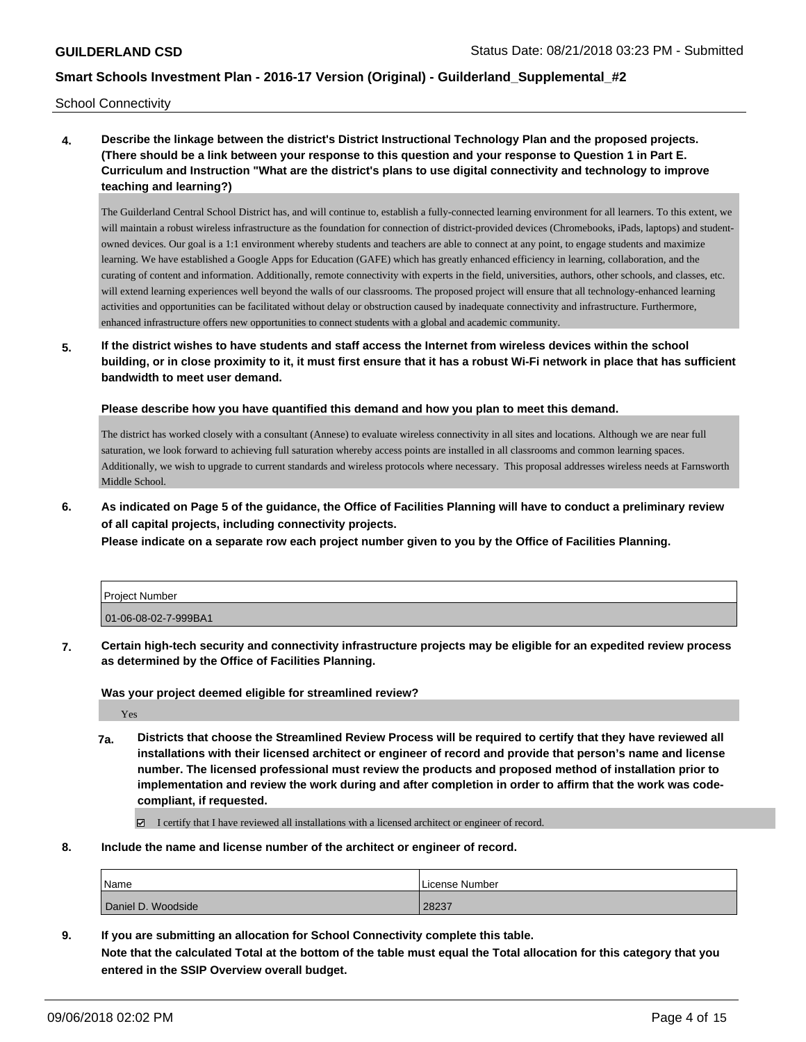School Connectivity

**4. Describe the linkage between the district's District Instructional Technology Plan and the proposed projects. (There should be a link between your response to this question and your response to Question 1 in Part E. Curriculum and Instruction "What are the district's plans to use digital connectivity and technology to improve teaching and learning?)**

The Guilderland Central School District has, and will continue to, establish a fully-connected learning environment for all learners. To this extent, we will maintain a robust wireless infrastructure as the foundation for connection of district-provided devices (Chromebooks, iPads, laptops) and studentowned devices. Our goal is a 1:1 environment whereby students and teachers are able to connect at any point, to engage students and maximize learning. We have established a Google Apps for Education (GAFE) which has greatly enhanced efficiency in learning, collaboration, and the curating of content and information. Additionally, remote connectivity with experts in the field, universities, authors, other schools, and classes, etc. will extend learning experiences well beyond the walls of our classrooms. The proposed project will ensure that all technology-enhanced learning activities and opportunities can be facilitated without delay or obstruction caused by inadequate connectivity and infrastructure. Furthermore, enhanced infrastructure offers new opportunities to connect students with a global and academic community.

**5. If the district wishes to have students and staff access the Internet from wireless devices within the school building, or in close proximity to it, it must first ensure that it has a robust Wi-Fi network in place that has sufficient bandwidth to meet user demand.**

**Please describe how you have quantified this demand and how you plan to meet this demand.**

The district has worked closely with a consultant (Annese) to evaluate wireless connectivity in all sites and locations. Although we are near full saturation, we look forward to achieving full saturation whereby access points are installed in all classrooms and common learning spaces. Additionally, we wish to upgrade to current standards and wireless protocols where necessary. This proposal addresses wireless needs at Farnsworth Middle School.

**6. As indicated on Page 5 of the guidance, the Office of Facilities Planning will have to conduct a preliminary review of all capital projects, including connectivity projects.**

**Please indicate on a separate row each project number given to you by the Office of Facilities Planning.**

| Project Number       |  |
|----------------------|--|
| 01-06-08-02-7-999BA1 |  |

**7. Certain high-tech security and connectivity infrastructure projects may be eligible for an expedited review process as determined by the Office of Facilities Planning.**

**Was your project deemed eligible for streamlined review?**

Yes

**7a. Districts that choose the Streamlined Review Process will be required to certify that they have reviewed all installations with their licensed architect or engineer of record and provide that person's name and license number. The licensed professional must review the products and proposed method of installation prior to implementation and review the work during and after completion in order to affirm that the work was codecompliant, if requested.**

I certify that I have reviewed all installations with a licensed architect or engineer of record.

**8. Include the name and license number of the architect or engineer of record.**

| Name               | License Number |
|--------------------|----------------|
| Daniel D. Woodside | 28237          |

**9. If you are submitting an allocation for School Connectivity complete this table.**

**Note that the calculated Total at the bottom of the table must equal the Total allocation for this category that you entered in the SSIP Overview overall budget.**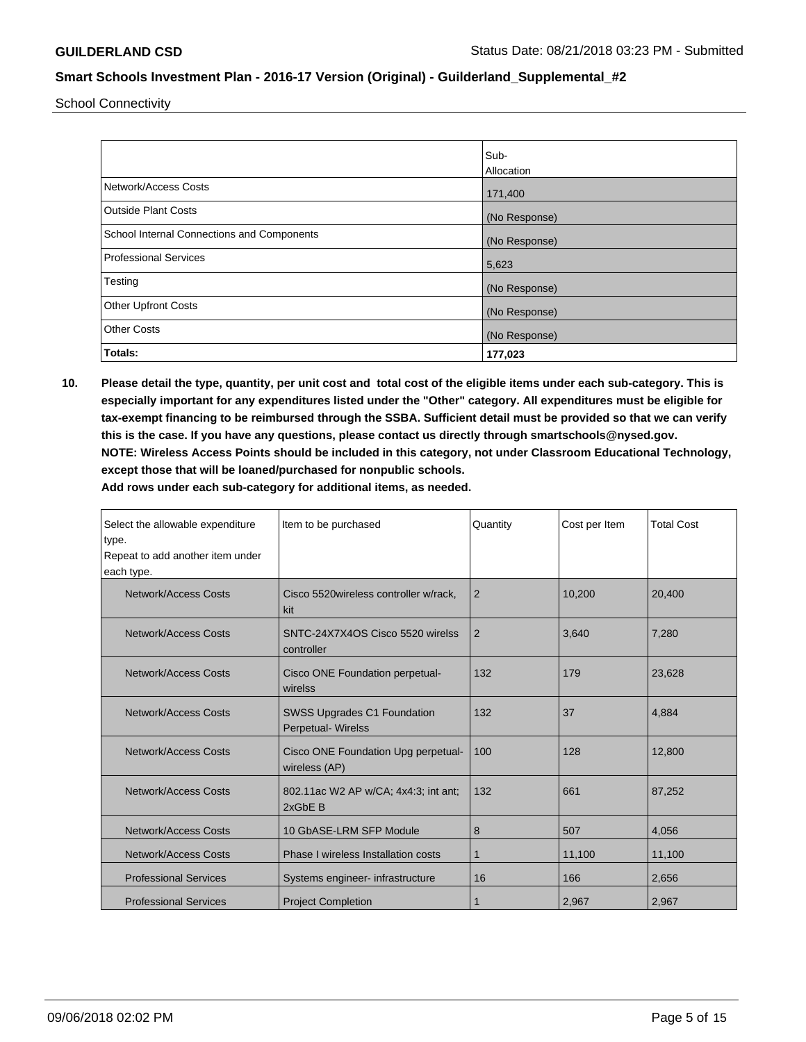School Connectivity

|                                            | Sub-          |
|--------------------------------------------|---------------|
|                                            | Allocation    |
| Network/Access Costs                       | 171,400       |
| <b>Outside Plant Costs</b>                 | (No Response) |
| School Internal Connections and Components | (No Response) |
| Professional Services                      | 5,623         |
| Testing                                    | (No Response) |
| <b>Other Upfront Costs</b>                 | (No Response) |
| <b>Other Costs</b>                         | (No Response) |
| Totals:                                    | 177,023       |

**10. Please detail the type, quantity, per unit cost and total cost of the eligible items under each sub-category. This is especially important for any expenditures listed under the "Other" category. All expenditures must be eligible for tax-exempt financing to be reimbursed through the SSBA. Sufficient detail must be provided so that we can verify this is the case. If you have any questions, please contact us directly through smartschools@nysed.gov. NOTE: Wireless Access Points should be included in this category, not under Classroom Educational Technology, except those that will be loaned/purchased for nonpublic schools.**

| Select the allowable expenditure<br>type.<br>Repeat to add another item under<br>each type. | Item to be purchased                            | Quantity       | Cost per Item | <b>Total Cost</b> |
|---------------------------------------------------------------------------------------------|-------------------------------------------------|----------------|---------------|-------------------|
| Network/Access Costs<br>Cisco 5520 wireless controller w/rack,<br>kit                       |                                                 | $\overline{2}$ | 10,200        | 20,400            |
| Network/Access Costs                                                                        | SNTC-24X7X4OS Cisco 5520 wirelss<br>controller  | 2              | 3,640         | 7,280             |
| Network/Access Costs<br>Cisco ONE Foundation perpetual-<br>wirelss                          |                                                 | 132            | 179           | 23,628            |
| Network/Access Costs<br><b>SWSS Upgrades C1 Foundation</b><br><b>Perpetual- Wirelss</b>     |                                                 | 132            | 37            | 4.884             |
| Network/Access Costs<br>Cisco ONE Foundation Upg perpetual-<br>wireless (AP)                |                                                 | 100            | 128           | 12.800            |
| Network/Access Costs                                                                        | 802.11ac W2 AP w/CA; 4x4:3; int ant;<br>2xGbE B | 132            | 661           | 87,252            |
| <b>Network/Access Costs</b>                                                                 | 10 GbASE-LRM SFP Module                         | 8              | 507           | 4.056             |
| Network/Access Costs                                                                        | Phase I wireless Installation costs             | 1              | 11,100        | 11,100            |
| <b>Professional Services</b>                                                                | Systems engineer- infrastructure                | 16             | 166           | 2,656             |
| <b>Professional Services</b>                                                                | <b>Project Completion</b>                       |                | 2,967         | 2,967             |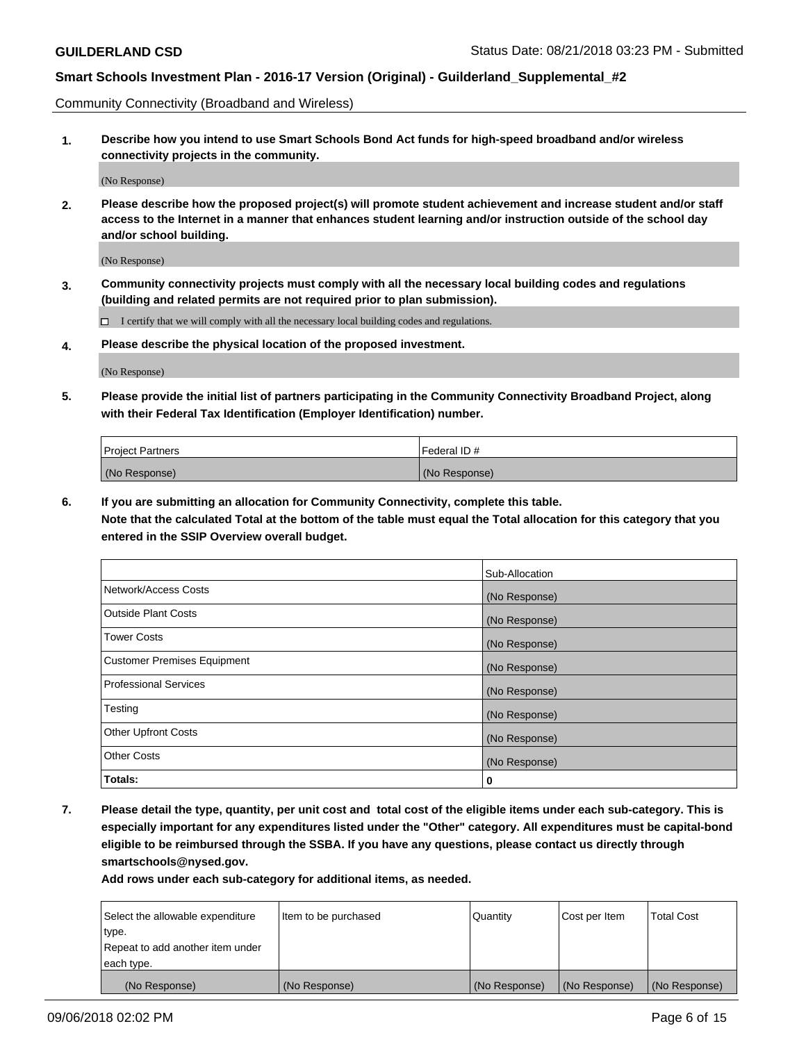Community Connectivity (Broadband and Wireless)

**1. Describe how you intend to use Smart Schools Bond Act funds for high-speed broadband and/or wireless connectivity projects in the community.**

(No Response)

**2. Please describe how the proposed project(s) will promote student achievement and increase student and/or staff access to the Internet in a manner that enhances student learning and/or instruction outside of the school day and/or school building.**

(No Response)

**3. Community connectivity projects must comply with all the necessary local building codes and regulations (building and related permits are not required prior to plan submission).**

 $\Box$  I certify that we will comply with all the necessary local building codes and regulations.

**4. Please describe the physical location of the proposed investment.**

(No Response)

**5. Please provide the initial list of partners participating in the Community Connectivity Broadband Project, along with their Federal Tax Identification (Employer Identification) number.**

| <b>Project Partners</b> | l Federal ID # |
|-------------------------|----------------|
| (No Response)           | (No Response)  |

**6. If you are submitting an allocation for Community Connectivity, complete this table.**

**Note that the calculated Total at the bottom of the table must equal the Total allocation for this category that you entered in the SSIP Overview overall budget.**

|                                    | Sub-Allocation |
|------------------------------------|----------------|
| Network/Access Costs               | (No Response)  |
| <b>Outside Plant Costs</b>         | (No Response)  |
| <b>Tower Costs</b>                 | (No Response)  |
| <b>Customer Premises Equipment</b> | (No Response)  |
| <b>Professional Services</b>       | (No Response)  |
| Testing                            | (No Response)  |
| <b>Other Upfront Costs</b>         | (No Response)  |
| <b>Other Costs</b>                 | (No Response)  |
| Totals:                            | 0              |

**7. Please detail the type, quantity, per unit cost and total cost of the eligible items under each sub-category. This is especially important for any expenditures listed under the "Other" category. All expenditures must be capital-bond eligible to be reimbursed through the SSBA. If you have any questions, please contact us directly through smartschools@nysed.gov.**

| Select the allowable expenditure | Item to be purchased | Quantity      | Cost per Item | <b>Total Cost</b> |
|----------------------------------|----------------------|---------------|---------------|-------------------|
| type.                            |                      |               |               |                   |
| Repeat to add another item under |                      |               |               |                   |
| each type.                       |                      |               |               |                   |
| (No Response)                    | (No Response)        | (No Response) | (No Response) | (No Response)     |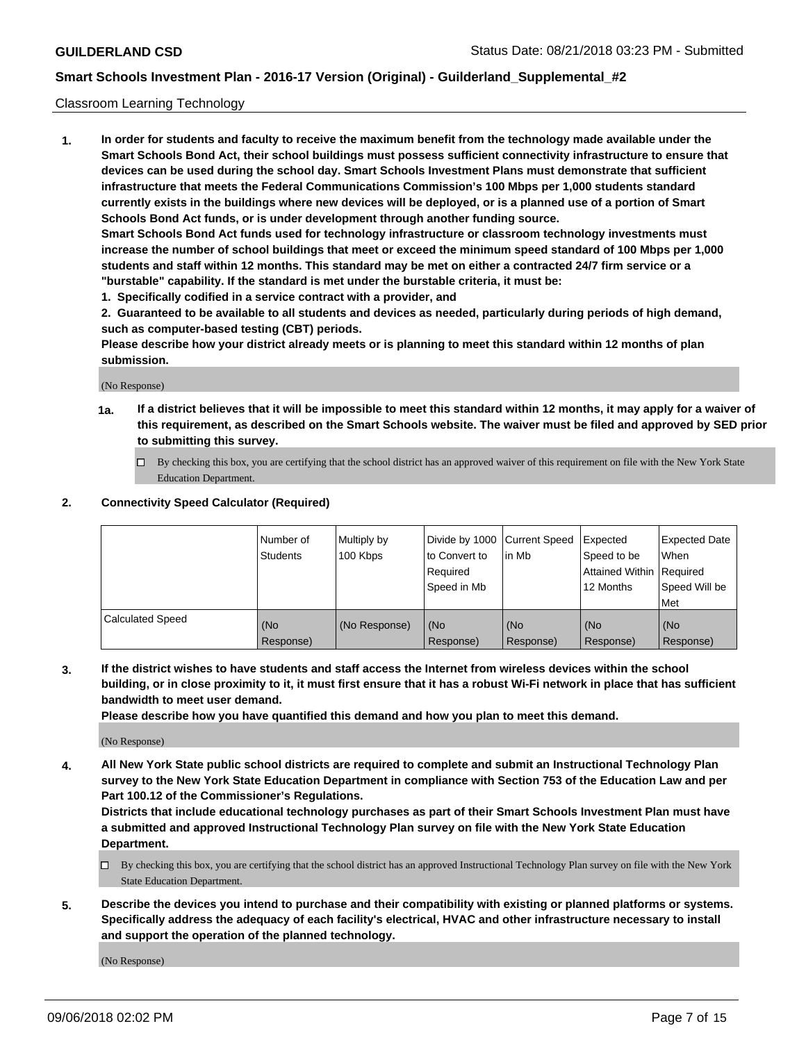#### Classroom Learning Technology

**1. In order for students and faculty to receive the maximum benefit from the technology made available under the Smart Schools Bond Act, their school buildings must possess sufficient connectivity infrastructure to ensure that devices can be used during the school day. Smart Schools Investment Plans must demonstrate that sufficient infrastructure that meets the Federal Communications Commission's 100 Mbps per 1,000 students standard currently exists in the buildings where new devices will be deployed, or is a planned use of a portion of Smart Schools Bond Act funds, or is under development through another funding source. Smart Schools Bond Act funds used for technology infrastructure or classroom technology investments must increase the number of school buildings that meet or exceed the minimum speed standard of 100 Mbps per 1,000 students and staff within 12 months. This standard may be met on either a contracted 24/7 firm service or a**

**"burstable" capability. If the standard is met under the burstable criteria, it must be:**

**1. Specifically codified in a service contract with a provider, and**

**2. Guaranteed to be available to all students and devices as needed, particularly during periods of high demand, such as computer-based testing (CBT) periods.**

**Please describe how your district already meets or is planning to meet this standard within 12 months of plan submission.**

(No Response)

- **1a. If a district believes that it will be impossible to meet this standard within 12 months, it may apply for a waiver of this requirement, as described on the Smart Schools website. The waiver must be filed and approved by SED prior to submitting this survey.**
	- By checking this box, you are certifying that the school district has an approved waiver of this requirement on file with the New York State Education Department.

#### **2. Connectivity Speed Calculator (Required)**

|                         | I Number of<br>Students | Multiply by<br>100 Kbps | to Convert to<br>Required<br>Speed in Mb | Divide by 1000 Current Speed Expected<br>lin Mb | Speed to be<br>Attained Within Required<br>12 Months | <b>Expected Date</b><br>When<br>Speed Will be<br>Met |
|-------------------------|-------------------------|-------------------------|------------------------------------------|-------------------------------------------------|------------------------------------------------------|------------------------------------------------------|
| <b>Calculated Speed</b> | (No<br>Response)        | (No Response)           | (No<br>Response)                         | (No<br>Response)                                | (No<br>Response)                                     | (No<br>Response)                                     |

**3. If the district wishes to have students and staff access the Internet from wireless devices within the school building, or in close proximity to it, it must first ensure that it has a robust Wi-Fi network in place that has sufficient bandwidth to meet user demand.**

**Please describe how you have quantified this demand and how you plan to meet this demand.**

(No Response)

**4. All New York State public school districts are required to complete and submit an Instructional Technology Plan survey to the New York State Education Department in compliance with Section 753 of the Education Law and per Part 100.12 of the Commissioner's Regulations.**

**Districts that include educational technology purchases as part of their Smart Schools Investment Plan must have a submitted and approved Instructional Technology Plan survey on file with the New York State Education Department.**

- $\Box$  By checking this box, you are certifying that the school district has an approved Instructional Technology Plan survey on file with the New York State Education Department.
- **5. Describe the devices you intend to purchase and their compatibility with existing or planned platforms or systems. Specifically address the adequacy of each facility's electrical, HVAC and other infrastructure necessary to install and support the operation of the planned technology.**

(No Response)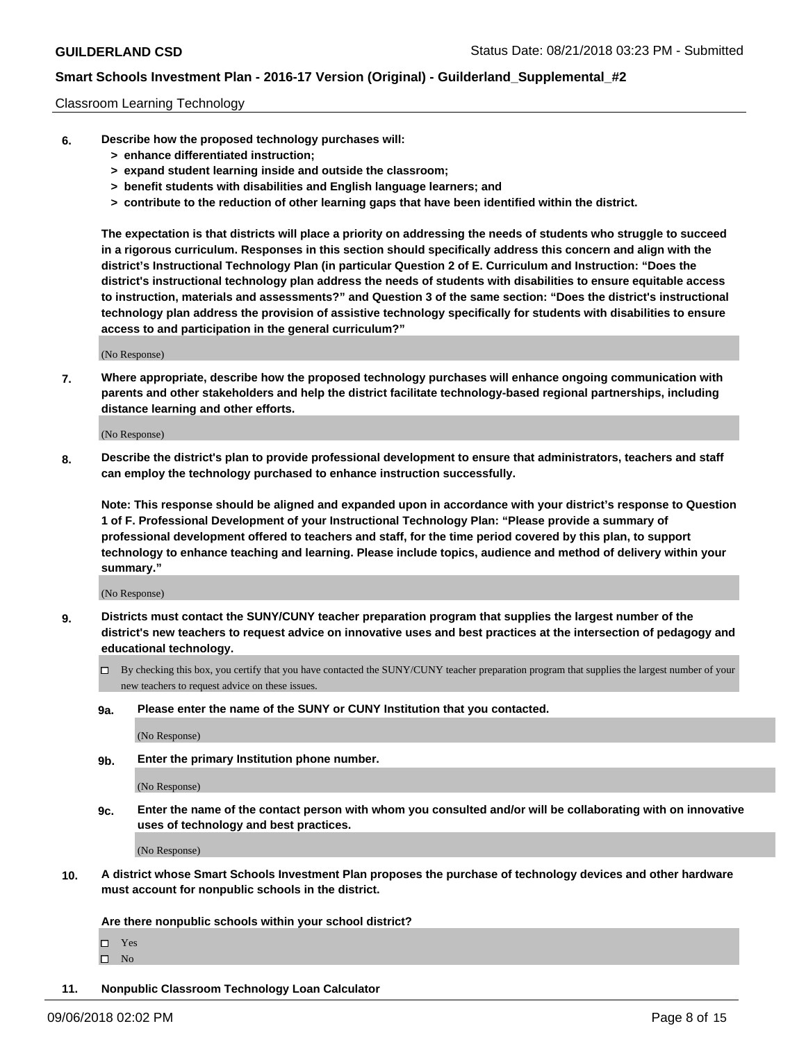#### Classroom Learning Technology

- **6. Describe how the proposed technology purchases will:**
	- **> enhance differentiated instruction;**
	- **> expand student learning inside and outside the classroom;**
	- **> benefit students with disabilities and English language learners; and**
	- **> contribute to the reduction of other learning gaps that have been identified within the district.**

**The expectation is that districts will place a priority on addressing the needs of students who struggle to succeed in a rigorous curriculum. Responses in this section should specifically address this concern and align with the district's Instructional Technology Plan (in particular Question 2 of E. Curriculum and Instruction: "Does the district's instructional technology plan address the needs of students with disabilities to ensure equitable access to instruction, materials and assessments?" and Question 3 of the same section: "Does the district's instructional technology plan address the provision of assistive technology specifically for students with disabilities to ensure access to and participation in the general curriculum?"**

(No Response)

**7. Where appropriate, describe how the proposed technology purchases will enhance ongoing communication with parents and other stakeholders and help the district facilitate technology-based regional partnerships, including distance learning and other efforts.**

(No Response)

**8. Describe the district's plan to provide professional development to ensure that administrators, teachers and staff can employ the technology purchased to enhance instruction successfully.**

**Note: This response should be aligned and expanded upon in accordance with your district's response to Question 1 of F. Professional Development of your Instructional Technology Plan: "Please provide a summary of professional development offered to teachers and staff, for the time period covered by this plan, to support technology to enhance teaching and learning. Please include topics, audience and method of delivery within your summary."**

(No Response)

- **9. Districts must contact the SUNY/CUNY teacher preparation program that supplies the largest number of the district's new teachers to request advice on innovative uses and best practices at the intersection of pedagogy and educational technology.**
	- By checking this box, you certify that you have contacted the SUNY/CUNY teacher preparation program that supplies the largest number of your new teachers to request advice on these issues.
	- **9a. Please enter the name of the SUNY or CUNY Institution that you contacted.**

(No Response)

**9b. Enter the primary Institution phone number.**

(No Response)

**9c. Enter the name of the contact person with whom you consulted and/or will be collaborating with on innovative uses of technology and best practices.**

(No Response)

**10. A district whose Smart Schools Investment Plan proposes the purchase of technology devices and other hardware must account for nonpublic schools in the district.**

**Are there nonpublic schools within your school district?**

Yes

 $\square$  No

**11. Nonpublic Classroom Technology Loan Calculator**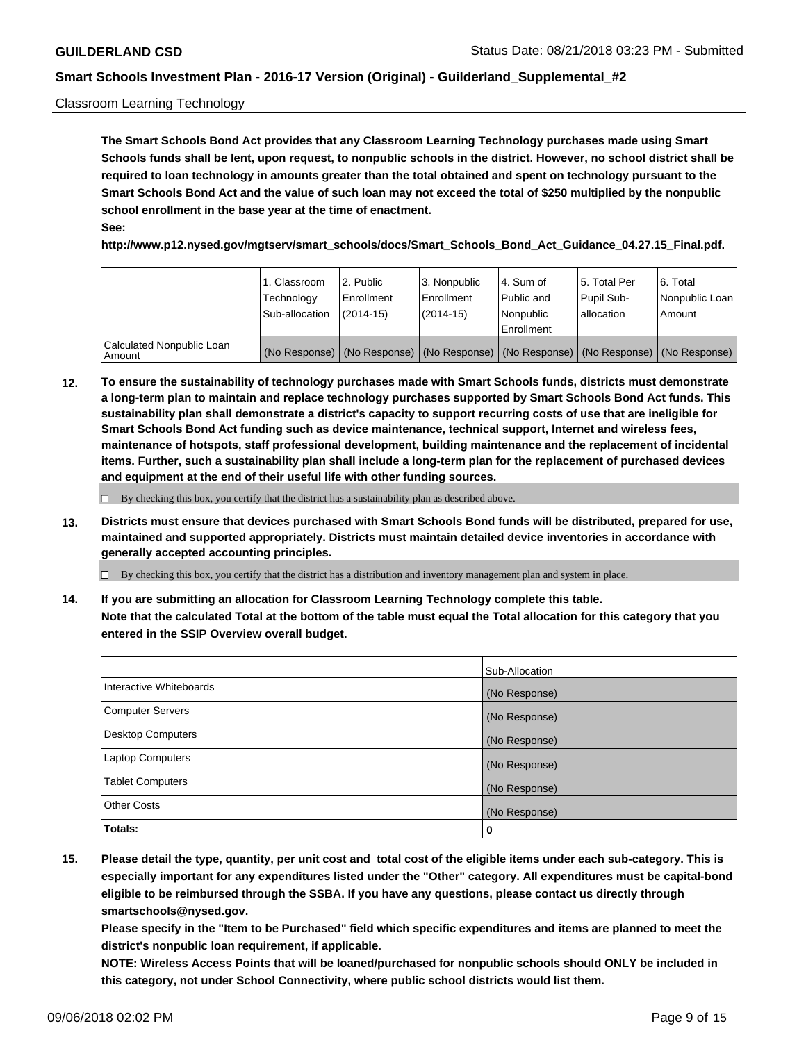#### Classroom Learning Technology

**The Smart Schools Bond Act provides that any Classroom Learning Technology purchases made using Smart Schools funds shall be lent, upon request, to nonpublic schools in the district. However, no school district shall be required to loan technology in amounts greater than the total obtained and spent on technology pursuant to the Smart Schools Bond Act and the value of such loan may not exceed the total of \$250 multiplied by the nonpublic school enrollment in the base year at the time of enactment. See:**

**http://www.p12.nysed.gov/mgtserv/smart\_schools/docs/Smart\_Schools\_Bond\_Act\_Guidance\_04.27.15\_Final.pdf.**

|                                       | 1. Classroom<br>Technology<br>Sub-allocation | 2. Public<br>l Enrollment<br>(2014-15) | l 3. Nonpublic<br>l Enrollment<br>$(2014 - 15)$ | l 4. Sum of<br>l Public and<br>l Nonpublic<br>Enrollment                                      | 15. Total Per<br>Pupil Sub-<br>l allocation | l 6. Total<br>Nonpublic Loan<br>Amount |
|---------------------------------------|----------------------------------------------|----------------------------------------|-------------------------------------------------|-----------------------------------------------------------------------------------------------|---------------------------------------------|----------------------------------------|
| Calculated Nonpublic Loan<br>l Amount |                                              |                                        |                                                 | (No Response)   (No Response)   (No Response)   (No Response)   (No Response)   (No Response) |                                             |                                        |

**12. To ensure the sustainability of technology purchases made with Smart Schools funds, districts must demonstrate a long-term plan to maintain and replace technology purchases supported by Smart Schools Bond Act funds. This sustainability plan shall demonstrate a district's capacity to support recurring costs of use that are ineligible for Smart Schools Bond Act funding such as device maintenance, technical support, Internet and wireless fees, maintenance of hotspots, staff professional development, building maintenance and the replacement of incidental items. Further, such a sustainability plan shall include a long-term plan for the replacement of purchased devices and equipment at the end of their useful life with other funding sources.**

 $\Box$  By checking this box, you certify that the district has a sustainability plan as described above.

**13. Districts must ensure that devices purchased with Smart Schools Bond funds will be distributed, prepared for use, maintained and supported appropriately. Districts must maintain detailed device inventories in accordance with generally accepted accounting principles.**

By checking this box, you certify that the district has a distribution and inventory management plan and system in place.

**14. If you are submitting an allocation for Classroom Learning Technology complete this table. Note that the calculated Total at the bottom of the table must equal the Total allocation for this category that you entered in the SSIP Overview overall budget.**

|                          | Sub-Allocation |
|--------------------------|----------------|
| Interactive Whiteboards  | (No Response)  |
| <b>Computer Servers</b>  | (No Response)  |
| <b>Desktop Computers</b> | (No Response)  |
| <b>Laptop Computers</b>  | (No Response)  |
| <b>Tablet Computers</b>  | (No Response)  |
| <b>Other Costs</b>       | (No Response)  |
| Totals:                  | 0              |

**15. Please detail the type, quantity, per unit cost and total cost of the eligible items under each sub-category. This is especially important for any expenditures listed under the "Other" category. All expenditures must be capital-bond eligible to be reimbursed through the SSBA. If you have any questions, please contact us directly through smartschools@nysed.gov.**

**Please specify in the "Item to be Purchased" field which specific expenditures and items are planned to meet the district's nonpublic loan requirement, if applicable.**

**NOTE: Wireless Access Points that will be loaned/purchased for nonpublic schools should ONLY be included in this category, not under School Connectivity, where public school districts would list them.**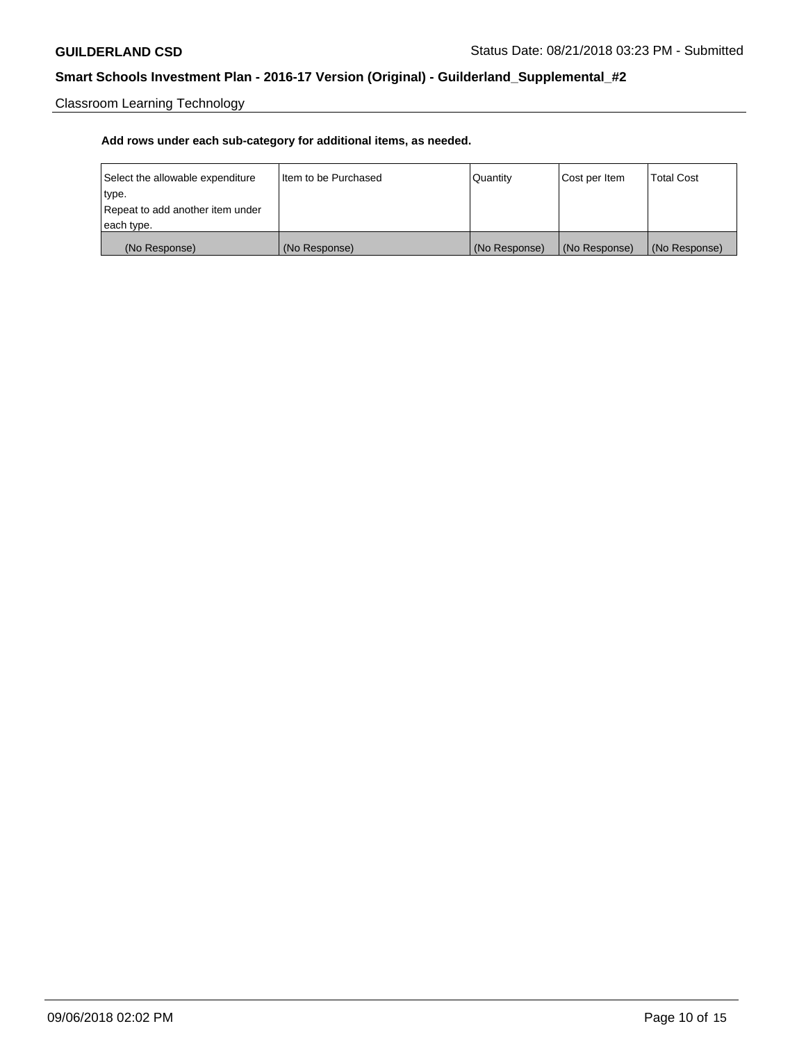Classroom Learning Technology

| Select the allowable expenditure | I Item to be Purchased | Quantity      | Cost per Item | <b>Total Cost</b> |
|----------------------------------|------------------------|---------------|---------------|-------------------|
| type.                            |                        |               |               |                   |
| Repeat to add another item under |                        |               |               |                   |
| each type.                       |                        |               |               |                   |
| (No Response)                    | (No Response)          | (No Response) | (No Response) | (No Response)     |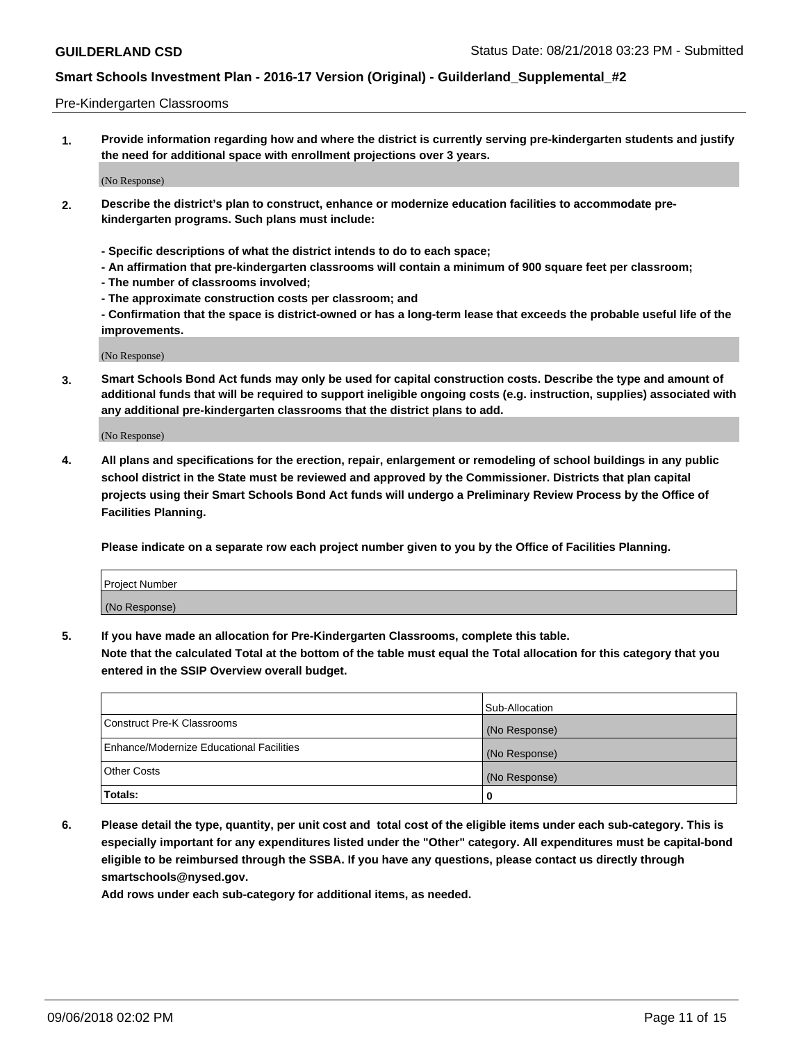#### Pre-Kindergarten Classrooms

**1. Provide information regarding how and where the district is currently serving pre-kindergarten students and justify the need for additional space with enrollment projections over 3 years.**

(No Response)

- **2. Describe the district's plan to construct, enhance or modernize education facilities to accommodate prekindergarten programs. Such plans must include:**
	- **Specific descriptions of what the district intends to do to each space;**
	- **An affirmation that pre-kindergarten classrooms will contain a minimum of 900 square feet per classroom;**
	- **The number of classrooms involved;**
	- **The approximate construction costs per classroom; and**
	- **Confirmation that the space is district-owned or has a long-term lease that exceeds the probable useful life of the improvements.**

(No Response)

**3. Smart Schools Bond Act funds may only be used for capital construction costs. Describe the type and amount of additional funds that will be required to support ineligible ongoing costs (e.g. instruction, supplies) associated with any additional pre-kindergarten classrooms that the district plans to add.**

(No Response)

**4. All plans and specifications for the erection, repair, enlargement or remodeling of school buildings in any public school district in the State must be reviewed and approved by the Commissioner. Districts that plan capital projects using their Smart Schools Bond Act funds will undergo a Preliminary Review Process by the Office of Facilities Planning.**

**Please indicate on a separate row each project number given to you by the Office of Facilities Planning.**

| Project Number |  |
|----------------|--|
| (No Response)  |  |
|                |  |

**5. If you have made an allocation for Pre-Kindergarten Classrooms, complete this table.**

**Note that the calculated Total at the bottom of the table must equal the Total allocation for this category that you entered in the SSIP Overview overall budget.**

|                                          | Sub-Allocation |
|------------------------------------------|----------------|
| Construct Pre-K Classrooms               | (No Response)  |
| Enhance/Modernize Educational Facilities | (No Response)  |
| <b>Other Costs</b>                       | (No Response)  |
| Totals:                                  | 0              |

**6. Please detail the type, quantity, per unit cost and total cost of the eligible items under each sub-category. This is especially important for any expenditures listed under the "Other" category. All expenditures must be capital-bond eligible to be reimbursed through the SSBA. If you have any questions, please contact us directly through smartschools@nysed.gov.**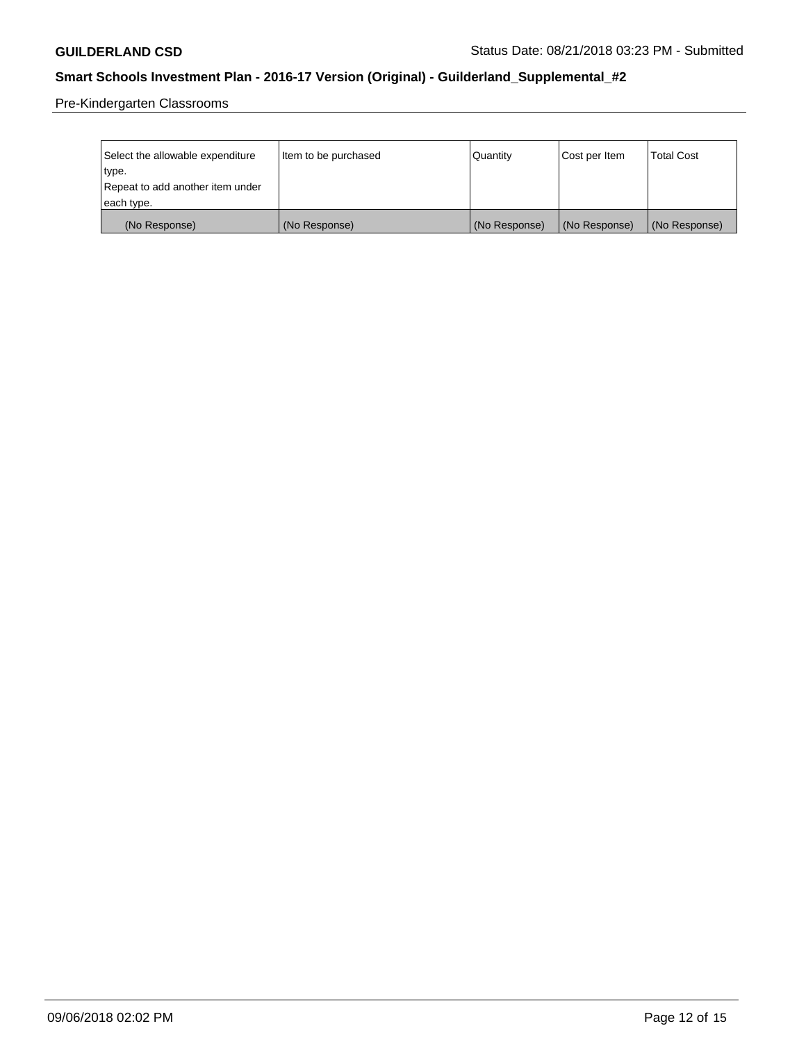Pre-Kindergarten Classrooms

| Select the allowable expenditure | Item to be purchased | Quantity      | Cost per Item | <b>Total Cost</b> |
|----------------------------------|----------------------|---------------|---------------|-------------------|
| type.                            |                      |               |               |                   |
| Repeat to add another item under |                      |               |               |                   |
| each type.                       |                      |               |               |                   |
| (No Response)                    | (No Response)        | (No Response) | (No Response) | (No Response)     |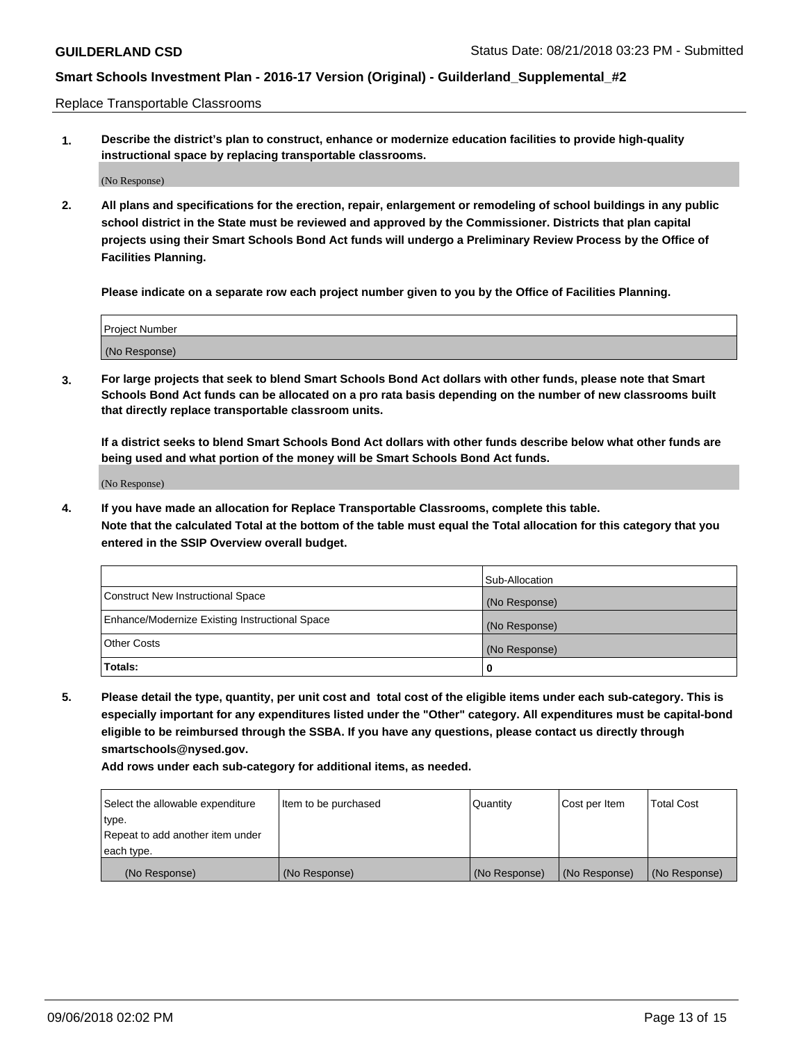Replace Transportable Classrooms

**1. Describe the district's plan to construct, enhance or modernize education facilities to provide high-quality instructional space by replacing transportable classrooms.**

(No Response)

**2. All plans and specifications for the erection, repair, enlargement or remodeling of school buildings in any public school district in the State must be reviewed and approved by the Commissioner. Districts that plan capital projects using their Smart Schools Bond Act funds will undergo a Preliminary Review Process by the Office of Facilities Planning.**

**Please indicate on a separate row each project number given to you by the Office of Facilities Planning.**

| Project Number |               |  |
|----------------|---------------|--|
|                |               |  |
|                |               |  |
|                | (No Response) |  |

**3. For large projects that seek to blend Smart Schools Bond Act dollars with other funds, please note that Smart Schools Bond Act funds can be allocated on a pro rata basis depending on the number of new classrooms built that directly replace transportable classroom units.**

**If a district seeks to blend Smart Schools Bond Act dollars with other funds describe below what other funds are being used and what portion of the money will be Smart Schools Bond Act funds.**

(No Response)

**4. If you have made an allocation for Replace Transportable Classrooms, complete this table. Note that the calculated Total at the bottom of the table must equal the Total allocation for this category that you entered in the SSIP Overview overall budget.**

|                                                | Sub-Allocation |
|------------------------------------------------|----------------|
| Construct New Instructional Space              | (No Response)  |
| Enhance/Modernize Existing Instructional Space | (No Response)  |
| <b>Other Costs</b>                             | (No Response)  |
| Totals:                                        | 0              |

**5. Please detail the type, quantity, per unit cost and total cost of the eligible items under each sub-category. This is especially important for any expenditures listed under the "Other" category. All expenditures must be capital-bond eligible to be reimbursed through the SSBA. If you have any questions, please contact us directly through smartschools@nysed.gov.**

| Select the allowable expenditure | Item to be purchased | l Quantitv    | Cost per Item | <b>Total Cost</b> |
|----------------------------------|----------------------|---------------|---------------|-------------------|
| type.                            |                      |               |               |                   |
| Repeat to add another item under |                      |               |               |                   |
| each type.                       |                      |               |               |                   |
| (No Response)                    | (No Response)        | (No Response) | (No Response) | (No Response)     |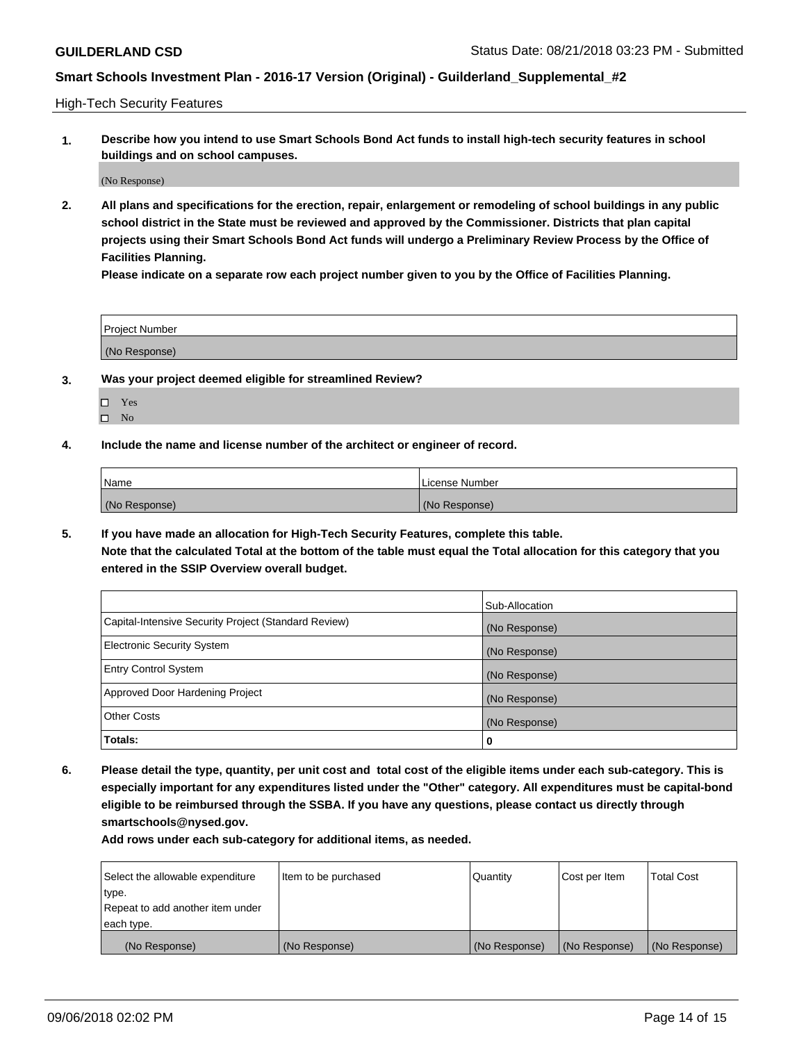High-Tech Security Features

**1. Describe how you intend to use Smart Schools Bond Act funds to install high-tech security features in school buildings and on school campuses.**

(No Response)

**2. All plans and specifications for the erection, repair, enlargement or remodeling of school buildings in any public school district in the State must be reviewed and approved by the Commissioner. Districts that plan capital projects using their Smart Schools Bond Act funds will undergo a Preliminary Review Process by the Office of Facilities Planning.** 

**Please indicate on a separate row each project number given to you by the Office of Facilities Planning.**

| <b>Project Number</b> |  |
|-----------------------|--|
| (No Response)         |  |

- **3. Was your project deemed eligible for streamlined Review?**
	- Yes
	- $\square$  No
- **4. Include the name and license number of the architect or engineer of record.**

| <b>Name</b>   | License Number |
|---------------|----------------|
| (No Response) | (No Response)  |

**5. If you have made an allocation for High-Tech Security Features, complete this table.**

**Note that the calculated Total at the bottom of the table must equal the Total allocation for this category that you entered in the SSIP Overview overall budget.**

|                                                      | Sub-Allocation |
|------------------------------------------------------|----------------|
| Capital-Intensive Security Project (Standard Review) | (No Response)  |
| <b>Electronic Security System</b>                    | (No Response)  |
| <b>Entry Control System</b>                          | (No Response)  |
| Approved Door Hardening Project                      | (No Response)  |
| <b>Other Costs</b>                                   | (No Response)  |
| Totals:                                              | 0              |

**6. Please detail the type, quantity, per unit cost and total cost of the eligible items under each sub-category. This is especially important for any expenditures listed under the "Other" category. All expenditures must be capital-bond eligible to be reimbursed through the SSBA. If you have any questions, please contact us directly through smartschools@nysed.gov.**

| Select the allowable expenditure | Item to be purchased | Quantity      | Cost per Item | <b>Total Cost</b> |
|----------------------------------|----------------------|---------------|---------------|-------------------|
| type.                            |                      |               |               |                   |
| Repeat to add another item under |                      |               |               |                   |
| each type.                       |                      |               |               |                   |
| (No Response)                    | (No Response)        | (No Response) | (No Response) | (No Response)     |